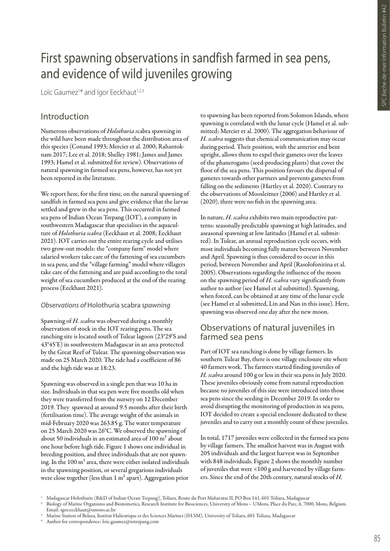# First spawning observations in sandfish farmed in sea pens, and evidence of wild juveniles growing

Loïc Gaumez<sup>1\*</sup> and Igor Eeckhaut<sup>1,2,3</sup>

## Introduction

Numerous observations of *Holothuria s*cabra spawning in the wild have been made throughout the distribution area of this species (Conand 1993; Mercier et al. 2000; Rahantoknam 2017; Lee et al. 2018; Shelley 1981; James and James 1993; Hamel et al. submitted for review). Observations of natural spawning in farmed sea pens, however, has not yet been reported in the literature.

We report here, for the first time, on the natural spawning of sandfish in farmed sea pens and give evidence that the larvae settled and grew in the sea pens. This occurred in farmed sea pens of Indian Ocean Trepang (IOT), a company in southwestern Madagascar that specialises in the aquaculture of *Holothuria scabra* (Eeckhaut et al. 2008; Eeckhaut 2021). IOT carries out the entire rearing cycle and utilises two grow-out models: the "company farm" model where salaried workers take care of the fattening of sea cucumbers in sea pens, and the "village farming" model where villagers take care of the fattening and are paid according to the total weight of sea cucumbers produced at the end of the rearing process (Eeckhaut 2021).

#### *Observations of* Holothuria scabra *spawning*

Spawning of *H. scabra* was observed during a monthly observation of stock in the IOT rearing pens. The sea ranching site is located south of Tulear lagoon (23°29'S and 43°45'E) in southwestern Madagascar in an area protected by the Great Reef of Tulear. The spawning observation was made on 25 March 2020. The tide had a coefficient of 86 and the high tide was at 18:23.

Spawning was observed in a single pen that was 10 ha in size. Individuals in that sea pen were five months old when they were transferred from the nursery on 12 December 2019. They spawned at around 9.5 months after their birth (fertilisation time). The average weight of the animals in mid-February 2020 was 263.85 g. The water temperature on 25 March 2020 was 26°C. We observed the spawning of about 50 individuals in an estimated area of 100 m² about one hour before high tide. Figure 1 shows one individual in breeding position, and three individuals that are not spawning. In the 100 m² area, there were either isolated individuals in the spawning position, or several gregarious individuals were close together (less than 1 m² apart). Aggregation prior

to spawning has been reported from Solomon Islands, where spawning is correlated with the lunar cycle (Hamel et al. submitted; Mercier et al. 2000). The aggregation behaviour of *H. scabra* suggests that chemical communication may occur during period. Their position, with the anterior end bent upright, allows them to expel their gametes over the leaves of the phanerogams (seed-producing plants) that cover the floor of the sea pens. This position favours the dispersal of gametes towards other partners and prevents gametes from falling on the sediments (Hartley et al. 2020). Contrary to the observations of Moosleitner (2006) and Hartley et al. (2020), there were no fish in the spawning area.

In nature, *H. scabra* exhibits two main reproductive patterns: seasonally predictable spawning at high latitudes, and aseasonal spawning at low latitudes (Hamel et al. submitted). In Tulear, an annual reproduction cycle occurs, with most individuals becoming fully mature between November and April. Spawning is thus considered to occur in this period, between November and April (Rasolofonirina et al. 2005). Observations regarding the influence of the moon on the spawning period of *H. scabra* vary significantly from author to author (see Hamel et al submitted). Spawning, when forced, can be obtained at any time of the lunar cycle (see Hamel et al submitted, Lin and Nan in this issue). Here, spawning was observed one day after the new moon.

## Observations of natural juveniles in farmed sea pens

Part of IOT sea ranching is done by village farmers. In southern Tulear Bay, there is one village enclosure site where 40 farmers work. The farmers started finding juveniles of *H. scabra* around 100 g or less in their sea pens in July 2020. These juveniles obviously come from natural reproduction because no juveniles of this size were introduced into those sea pens since the seeding in December 2019. In order to avoid disrupting the monitoring of production in sea pens, IOT decided to create a special enclosure dedicated to these juveniles and to carry out a monthly count of these juveniles.

In total, 1717 juveniles were collected in the farmed sea pens by village farmers. The smallest harvest was in August with 205 individuals and the largest harvest was in September with 848 individuals. Figure 2 shows the monthly number of juveniles that were <100 g and harvested by village farmers. Since the end of the 20th century, natural stocks of *H.* 

<sup>1</sup> Madagascar Holothurie (R&D of Indian Ocean Trepang), Toliara, Route du Port Mahavatse II, PO Box 141, 601 Toliara, Madagascar

<sup>2</sup> Biology of Marine Organisms and Biomimetics, Research Institute for Biosciences, University of Mons – UMons, Place du Parc, 6, 7000, Mons, Belgium. Email: igor.eeckhaut@umons.ac.be

<sup>3</sup> Marine Station of Belaza, Institut Halieutique et des Sciences Marines (IH.SM), University of Toliara, 601 Toliara, Madagascar

Author for correspondence: loic.gaumez@iotrepang.com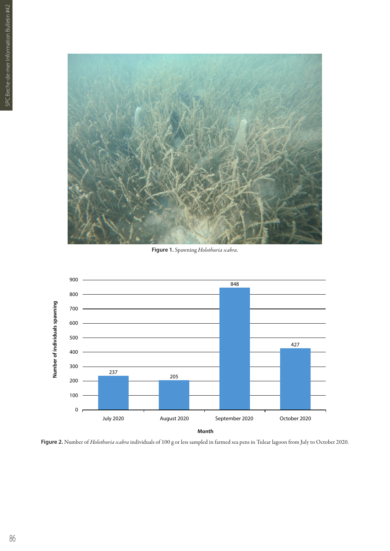

**Figure 1.** Spawning *Holothuria scabra*.



**Figure 2.** Number of *Holothuria scabra* individuals of 100 g or less sampled in farmed sea pens in Tulear lagoon from July to October 2020.